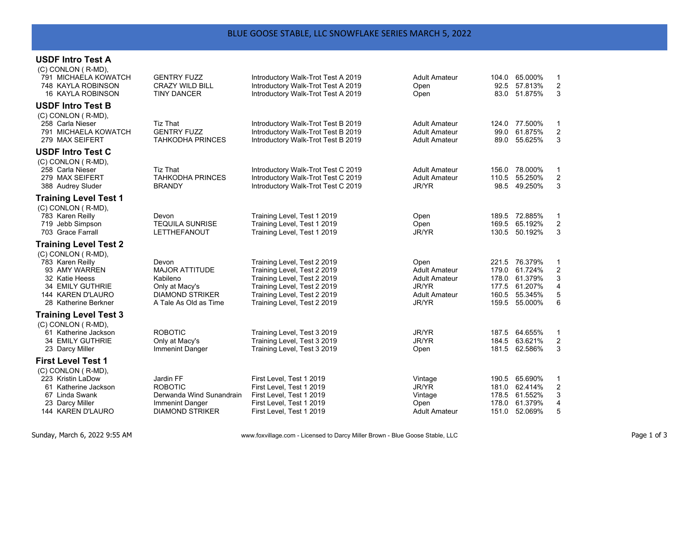## **USDF Intro Test A**

| (C) CONLON (R-MD),<br>791 MICHAELA KOWATCH<br>748 KAYLA ROBINSON<br>16 KAYLA ROBINSON                                                                                      | <b>GENTRY FUZZ</b><br><b>CRAZY WILD BILL</b><br><b>TINY DANCER</b>                                              | Introductory Walk-Trot Test A 2019<br>Introductory Walk-Trot Test A 2019<br>Introductory Walk-Trot Test A 2019                                                                         | Adult Amateur<br>Open<br>Open                                                                  | 104.0<br>92.5                             | 65.000%<br>57.813%<br>83.0 51.875%                                   | $\mathbf{1}$<br>$\overline{c}$<br>3       |
|----------------------------------------------------------------------------------------------------------------------------------------------------------------------------|-----------------------------------------------------------------------------------------------------------------|----------------------------------------------------------------------------------------------------------------------------------------------------------------------------------------|------------------------------------------------------------------------------------------------|-------------------------------------------|----------------------------------------------------------------------|-------------------------------------------|
| <b>USDF Intro Test B</b><br>(C) CONLON (R-MD),<br>258 Carla Nieser<br>791 MICHAELA KOWATCH<br>279 MAX SEIFERT                                                              | <b>Tiz That</b><br><b>GENTRY FUZZ</b><br><b>TAHKODHA PRINCES</b>                                                | Introductory Walk-Trot Test B 2019<br>Introductory Walk-Trot Test B 2019<br>Introductory Walk-Trot Test B 2019                                                                         | Adult Amateur<br><b>Adult Amateur</b><br>Adult Amateur                                         | 124.0<br>99.0<br>89.0                     | 77.500%<br>61.875%<br>55.625%                                        | $\mathbf{1}$<br>2<br>3                    |
| <b>USDF Intro Test C</b><br>(C) CONLON (R-MD),<br>258 Carla Nieser<br>279 MAX SEIFERT<br>388 Audrey Sluder                                                                 | <b>Tiz That</b><br><b>TAHKODHA PRINCES</b><br><b>BRANDY</b>                                                     | Introductory Walk-Trot Test C 2019<br>Introductory Walk-Trot Test C 2019<br>Introductory Walk-Trot Test C 2019                                                                         | <b>Adult Amateur</b><br><b>Adult Amateur</b><br>JR/YR                                          | 110.5                                     | 156.0 78.000%<br>55.250%<br>98.5 49.250%                             | 1<br>$\overline{\mathbf{c}}$<br>3         |
| <b>Training Level Test 1</b><br>(C) CONLON (R-MD),<br>783 Karen Reilly<br>719 Jebb Simpson<br>703 Grace Farrall                                                            | Devon<br><b>TEQUILA SUNRISE</b><br>LETTHEFANOUT                                                                 | Training Level, Test 1 2019<br>Training Level, Test 1 2019<br>Training Level, Test 1 2019                                                                                              | Open<br>Open<br>JR/YR                                                                          | 189.5<br>169.5<br>130.5                   | 72.885%<br>65.192%<br>50.192%                                        | 1<br>$\overline{\mathbf{c}}$<br>3         |
| <b>Training Level Test 2</b><br>(C) CONLON (R-MD),<br>783 Karen Reilly<br>93 AMY WARREN<br>32 Katie Heess<br>34 EMILY GUTHRIE<br>144 KAREN D'LAURO<br>28 Katherine Berkner | Devon<br><b>MAJOR ATTITUDE</b><br>Kabileno<br>Only at Macy's<br><b>DIAMOND STRIKER</b><br>A Tale As Old as Time | Training Level, Test 2 2019<br>Training Level, Test 2 2019<br>Training Level, Test 2 2019<br>Training Level, Test 2 2019<br>Training Level, Test 2 2019<br>Training Level, Test 2 2019 | Open<br><b>Adult Amateur</b><br><b>Adult Amateur</b><br>JR/YR<br><b>Adult Amateur</b><br>JR/YR | 179.0<br>178.0<br>177.5<br>160.5<br>159.5 | 221.5 76.379%<br>61.724%<br>61.379%<br>61.207%<br>55.345%<br>55.000% | 1<br>$\boldsymbol{2}$<br>3<br>4<br>5<br>6 |
| <b>Training Level Test 3</b><br>(C) CONLON (R-MD),<br>61 Katherine Jackson<br><b>34 EMILY GUTHRIE</b><br>23 Darcy Miller                                                   | <b>ROBOTIC</b><br>Only at Macy's<br>Immenint Danger                                                             | Training Level, Test 3 2019<br>Training Level, Test 3 2019<br>Training Level, Test 3 2019                                                                                              | JR/YR<br>JR/YR<br>Open                                                                         | 187.5                                     | 64.655%<br>184.5 63.621%<br>181.5 62.586%                            | $\mathbf{1}$<br>$\overline{c}$<br>3       |
| <b>First Level Test 1</b><br>(C) CONLON (R-MD),<br>223 Kristin LaDow<br>61 Katherine Jackson<br>67 Linda Swank<br>23 Darcy Miller<br>144 KAREN D'LAURO                     | Jardin FF<br><b>ROBOTIC</b><br>Derwanda Wind Sunandrain<br>Immenint Danger<br><b>DIAMOND STRIKER</b>            | First Level, Test 1 2019<br>First Level, Test 1 2019<br>First Level, Test 1 2019<br>First Level, Test 1 2019<br>First Level, Test 1 2019                                               | Vintage<br>JR/YR<br>Vintage<br>Open<br>Adult Amateur                                           | 181.0<br>178.5<br>178.0<br>151.0          | 190.5 65.690%<br>62.414%<br>61.552%<br>61.379%<br>52.069%            | $\mathbf{1}$<br>2<br>3<br>4<br>5          |

Sunday, March 6, 2022 9:55 AM www.foxvillage.com - Licensed to Darcy Miller Brown - Blue Goose Stable, LLC Page 1 of 3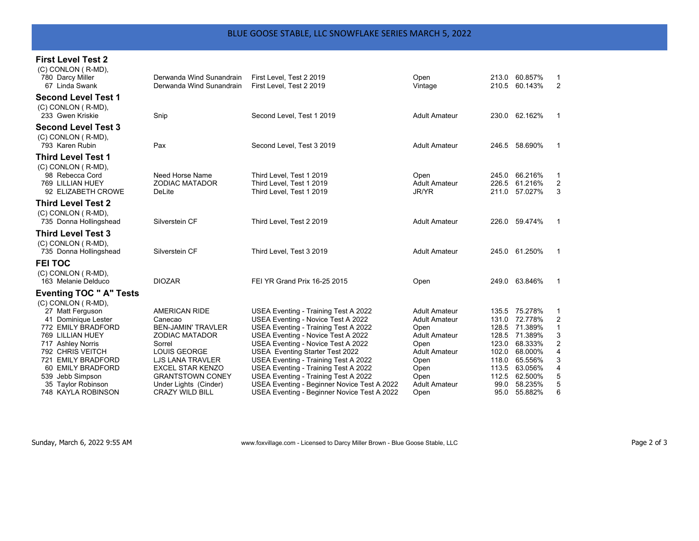## **First Level Test 2**

| (C) CONLON (R-MD),<br>780 Darcy Miller<br>67 Linda Swank                        | Derwanda Wind Sunandrain<br>Derwanda Wind Sunandrain | First Level. Test 2 2019<br>First Level, Test 2 2019                             | Open<br>Vintage                              | 213.0<br>210.5          | 60.857%<br>60.143%            | 2                             |
|---------------------------------------------------------------------------------|------------------------------------------------------|----------------------------------------------------------------------------------|----------------------------------------------|-------------------------|-------------------------------|-------------------------------|
| <b>Second Level Test 1</b><br>(C) CONLON (R-MD),<br>233 Gwen Kriskie            | Snip                                                 | Second Level. Test 1 2019                                                        | <b>Adult Amateur</b>                         |                         | 230.0 62.162%                 | $\mathbf{1}$                  |
| <b>Second Level Test 3</b><br>(C) CONLON (R-MD),<br>793 Karen Rubin             | Pax                                                  | Second Level, Test 3 2019                                                        | <b>Adult Amateur</b>                         |                         | 246.5 58.690%                 | -1                            |
| <b>Third Level Test 1</b>                                                       |                                                      |                                                                                  |                                              |                         |                               |                               |
| (C) CONLON (R-MD).<br>98 Rebecca Cord<br>769 LILLIAN HUEY<br>92 ELIZABETH CROWE | Need Horse Name<br><b>ZODIAC MATADOR</b><br>DeLite   | Third Level, Test 1 2019<br>Third Level, Test 1 2019<br>Third Level, Test 1 2019 | Open<br><b>Adult Amateur</b><br><b>JR/YR</b> | 245.0<br>226.5<br>211.0 | 66.216%<br>61.216%<br>57.027% | 1<br>2<br>3                   |
| <b>Third Level Test 2</b>                                                       |                                                      |                                                                                  |                                              |                         |                               |                               |
| (C) CONLON (R-MD),<br>735 Donna Hollingshead                                    | Silverstein CF                                       | Third Level, Test 2 2019                                                         | <b>Adult Amateur</b>                         |                         | 226.0 59.474%                 | -1                            |
| <b>Third Level Test 3</b>                                                       |                                                      |                                                                                  |                                              |                         |                               |                               |
| (C) CONLON (R-MD),<br>735 Donna Hollingshead                                    | Silverstein CF                                       | Third Level, Test 3 2019                                                         | <b>Adult Amateur</b>                         |                         | 245.0 61.250%                 | -1                            |
| <b>FEI TOC</b>                                                                  |                                                      |                                                                                  |                                              |                         |                               |                               |
| (C) CONLON (R-MD),<br>163 Melanie Delduco                                       | <b>DIOZAR</b>                                        | FEI YR Grand Prix 16-25 2015                                                     | Open                                         |                         | 249.0 63.846%                 | $\mathbf 1$                   |
| <b>Eventing TOC " A" Tests</b>                                                  |                                                      |                                                                                  |                                              |                         |                               |                               |
| $(C)$ CONLON $(R-MD)$ ,                                                         |                                                      |                                                                                  | <b>Adult Amateur</b>                         |                         |                               |                               |
| 27 Matt Ferguson<br>41 Dominique Lester                                         | <b>AMERICAN RIDE</b><br>Canecao                      | USEA Eventing - Training Test A 2022<br>USEA Eventing - Novice Test A 2022       | <b>Adult Amateur</b>                         | 131.0                   | 135.5 75.278%<br>72.778%      | $\mathbf 1$<br>$\overline{c}$ |
| 772 EMILY BRADFORD                                                              | <b>BEN-JAMIN' TRAVLER</b>                            | USEA Eventing - Training Test A 2022                                             | Open                                         | 128.5                   | 71.389%                       | $\mathbf{1}$                  |
| 769 LILLIAN HUEY                                                                | <b>ZODIAC MATADOR</b>                                | USEA Eventing - Novice Test A 2022                                               | <b>Adult Amateur</b>                         | 128.5                   | 71.389%                       | 3                             |
| 717 Ashley Norris                                                               | Sorrel                                               | USEA Eventing - Novice Test A 2022                                               | Open                                         | 123.0                   | 68.333%                       | 2                             |
| 792 CHRIS VEITCH                                                                | <b>LOUIS GEORGE</b>                                  | USEA Eventing Starter Test 2022                                                  | <b>Adult Amateur</b>                         | 102.0                   | 68.000%                       | 4                             |
| 721 EMILY BRADFORD                                                              | <b>LJS LANA TRAVLER</b>                              | USEA Eventing - Training Test A 2022                                             | Open                                         | 118.0                   | 65.556%                       | 3                             |
| 60 EMILY BRADFORD                                                               | <b>EXCEL STAR KENZO</b>                              | USEA Eventing - Training Test A 2022                                             | Open                                         | 113.5                   | 63.056%                       | 4                             |
| 539 Jebb Simpson                                                                | <b>GRANTSTOWN CONEY</b>                              | USEA Eventing - Training Test A 2022                                             | Open                                         | 112.5                   | 62.500%                       | 5                             |
| 35 Taylor Robinson                                                              | Under Lights (Cinder)                                | USEA Eventing - Beginner Novice Test A 2022                                      | <b>Adult Amateur</b>                         | 99.0                    | 58.235%                       | 5                             |
| 748 KAYLA ROBINSON                                                              | <b>CRAZY WILD BILL</b>                               | USEA Eventing - Beginner Novice Test A 2022                                      | Open                                         | 95.0                    | 55.882%                       | 6                             |

Sunday, March 6, 2022 9:55 AM **WWW.foxvillage.com - Licensed to Darcy Miller Brown - Blue Goose Stable, LLC** Page 2 of 3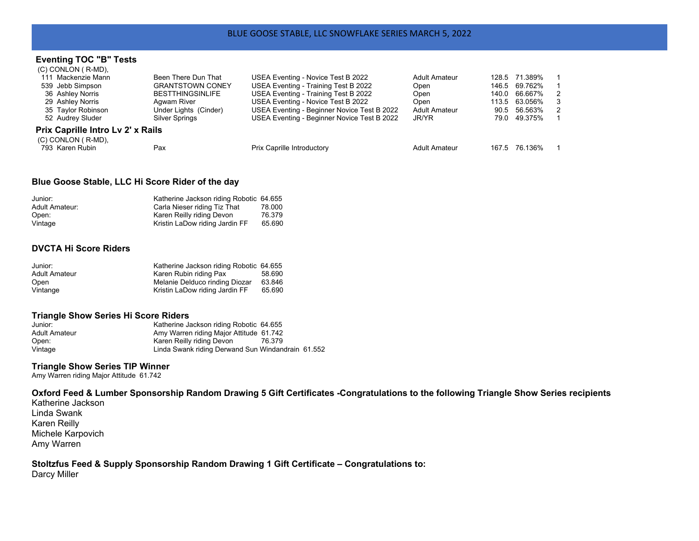#### **Eventing TOC "B" Tests**  $(C)$  CONLON  $(E)$  MD)

| Been There Dun That               | USEA Eventing - Novice Test B 2022          | <b>Adult Amateur</b> |  |                                                                                                                   |
|-----------------------------------|---------------------------------------------|----------------------|--|-------------------------------------------------------------------------------------------------------------------|
| <b>GRANTSTOWN CONEY</b>           | USEA Eventing - Training Test B 2022        | Open                 |  |                                                                                                                   |
| <b>BESTTHINGSINLIFE</b>           | USEA Eventing - Training Test B 2022        | Open                 |  | $\overline{2}$                                                                                                    |
| Aqwam River                       | USEA Eventing - Novice Test B 2022          | Open                 |  | 3                                                                                                                 |
| Under Lights (Cinder)             | USEA Eventing - Beginner Novice Test B 2022 | <b>Adult Amateur</b> |  | $\overline{2}$                                                                                                    |
| Silver Springs                    | USEA Eventing - Beginner Novice Test B 2022 | JR/YR                |  |                                                                                                                   |
| Prix Caprille Intro Lv 2' x Rails |                                             |                      |  |                                                                                                                   |
|                                   |                                             |                      |  |                                                                                                                   |
| Pax                               | <b>Prix Caprille Introductory</b>           | Adult Amateur        |  |                                                                                                                   |
|                                   |                                             |                      |  | 128.5 71.389%<br>146.5 69.762%<br>140.0 66.667%<br>113.5 63.056%<br>90.5 56.563%<br>79.0 49.375%<br>167.5 76.136% |

## **Blue Goose Stable, LLC Hi Score Rider of the day**

| Junior:        | Katherine Jackson riding Robotic 64.655 |        |
|----------------|-----------------------------------------|--------|
| Adult Amateur: | Carla Nieser riding Tiz That            | 78.000 |
| Open:          | Karen Reilly riding Devon               | 76.379 |
| Vintage        | Kristin LaDow riding Jardin FF          | 65.690 |

# **DVCTA Hi Score Riders**

| Junior:       | Katherine Jackson riding Robotic 64.655 |        |
|---------------|-----------------------------------------|--------|
| Adult Amateur | Karen Rubin riding Pax                  | 58.690 |
| Open          | Melanie Delduco rinding Diozar          | 63.846 |
| Vintange      | Kristin LaDow riding Jardin FF          | 65.690 |

## **Triangle Show Series Hi Score Riders**

| Junior:       | Katherine Jackson riding Robotic 64.655           |  |
|---------------|---------------------------------------------------|--|
| Adult Amateur | Amy Warren riding Major Attitude 61.742           |  |
| Open:         | Karen Reilly riding Devon<br>76.379               |  |
| Vintage       | Linda Swank riding Derwand Sun Windandrain 61.552 |  |

#### **Triangle Show Series TIP Winner**

Amy Warren riding Major Attitude 61.742

**Oxford Feed & Lumber Sponsorship Random Drawing 5 Gift Certificates -Congratulations to the following Triangle Show Series recipients** 

Katherine Jackson Linda Swank Karen Reilly Michele Karpovich Amy Warren

**Stoltzfus Feed & Supply Sponsorship Random Drawing 1 Gift Certificate – Congratulations to:**  Darcy Miller